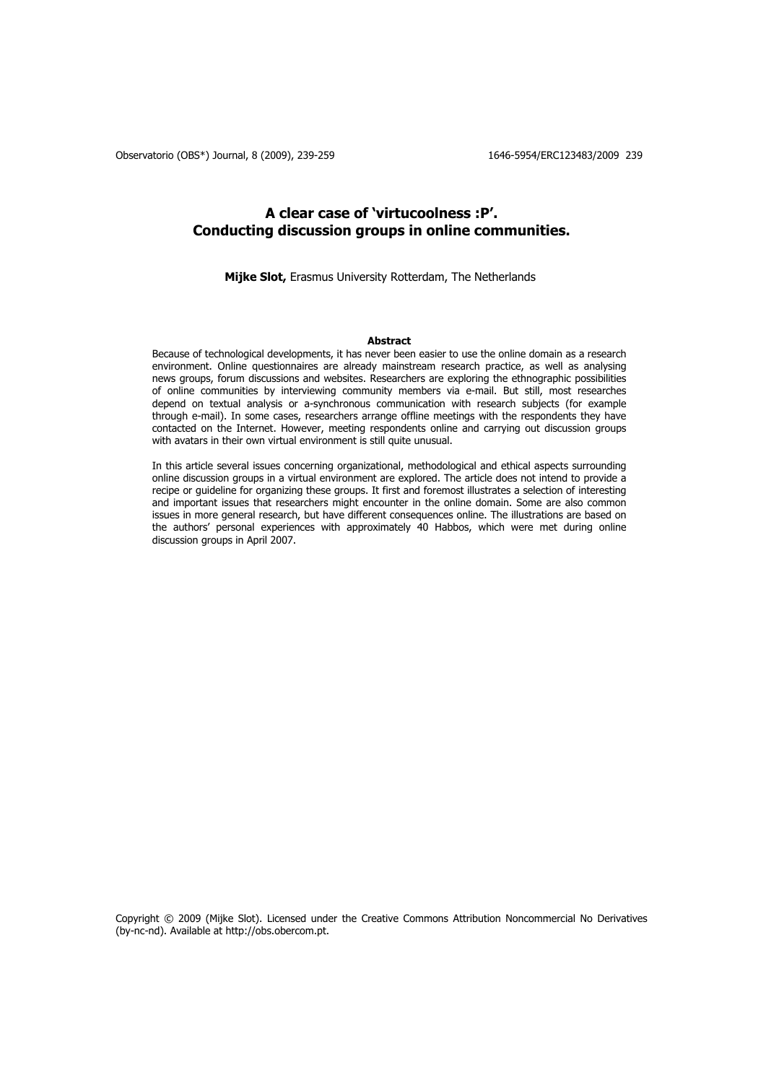# **A clear case of 'virtucoolness :P'. Conducting discussion groups in online communities.**

**Mijke Slot,** Erasmus University Rotterdam, The Netherlands

## **Abstract**

Because of technological developments, it has never been easier to use the online domain as a research environment. Online questionnaires are already mainstream research practice, as well as analysing news groups, forum discussions and websites. Researchers are exploring the ethnographic possibilities of online communities by interviewing community members via e-mail. But still, most researches depend on textual analysis or a-synchronous communication with research subjects (for example through e-mail). In some cases, researchers arrange offline meetings with the respondents they have contacted on the Internet. However, meeting respondents online and carrying out discussion groups with avatars in their own virtual environment is still quite unusual.

In this article several issues concerning organizational, methodological and ethical aspects surrounding online discussion groups in a virtual environment are explored. The article does not intend to provide a recipe or guideline for organizing these groups. It first and foremost illustrates a selection of interesting and important issues that researchers might encounter in the online domain. Some are also common issues in more general research, but have different consequences online. The illustrations are based on the authors' personal experiences with approximately 40 Habbos, which were met during online discussion groups in April 2007.

Copyright © 2009 (Mijke Slot). Licensed under the Creative Commons Attribution Noncommercial No Derivatives (by-nc-nd). Available at http://obs.obercom.pt.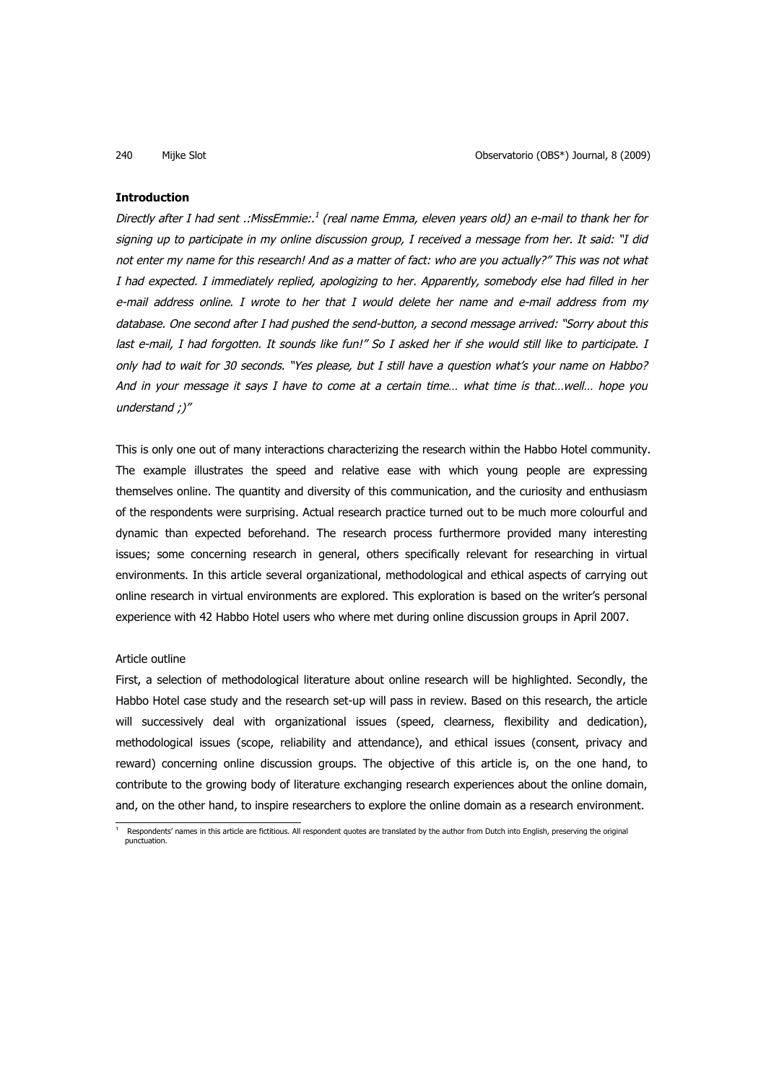### **Introduction**

Directly after I had sent .:MissEmmie:.<sup>1</sup> (real name Emma, eleven years old) an e-mail to thank her for signing up to participate in my online discussion group, I received a message from her. It said: "I did not enter my name for this research! And as a matter of fact: who are you actually?" This was not what I had expected. I immediately replied, apologizing to her. Apparently, somebody else had filled in her e-mail address online. I wrote to her that I would delete her name and e-mail address from my database. One second after I had pushed the send-button, a second message arrived: "Sorry about this last e-mail, I had forgotten. It sounds like fun!" So I asked her if she would still like to participate. I only had to wait for 30 seconds. "Yes please, but I still have a question what's your name on Habbo? And in your message it says I have to come at a certain time… what time is that…well… hope you understand ;)"

This is only one out of many interactions characterizing the research within the Habbo Hotel community. The example illustrates the speed and relative ease with which young people are expressing themselves online. The quantity and diversity of this communication, and the curiosity and enthusiasm of the respondents were surprising. Actual research practice turned out to be much more colourful and dynamic than expected beforehand. The research process furthermore provided many interesting issues; some concerning research in general, others specifically relevant for researching in virtual environments. In this article several organizational, methodological and ethical aspects of carrying out online research in virtual environments are explored. This exploration is based on the writer's personal experience with 42 Habbo Hotel users who where met during online discussion groups in April 2007.

### Article outline

First, a selection of methodological literature about online research will be highlighted. Secondly, the Habbo Hotel case study and the research set-up will pass in review. Based on this research, the article will successively deal with organizational issues (speed, clearness, flexibility and dedication), methodological issues (scope, reliability and attendance), and ethical issues (consent, privacy and reward) concerning online discussion groups. The objective of this article is, on the one hand, to contribute to the growing body of literature exchanging research experiences about the online domain, and, on the other hand, to inspire researchers to explore the online domain as a research environment.

<sup>1</sup> Respondents' names in this article are fictitious. All respondent quotes are translated by the author from Dutch into English, preserving the original punctuation.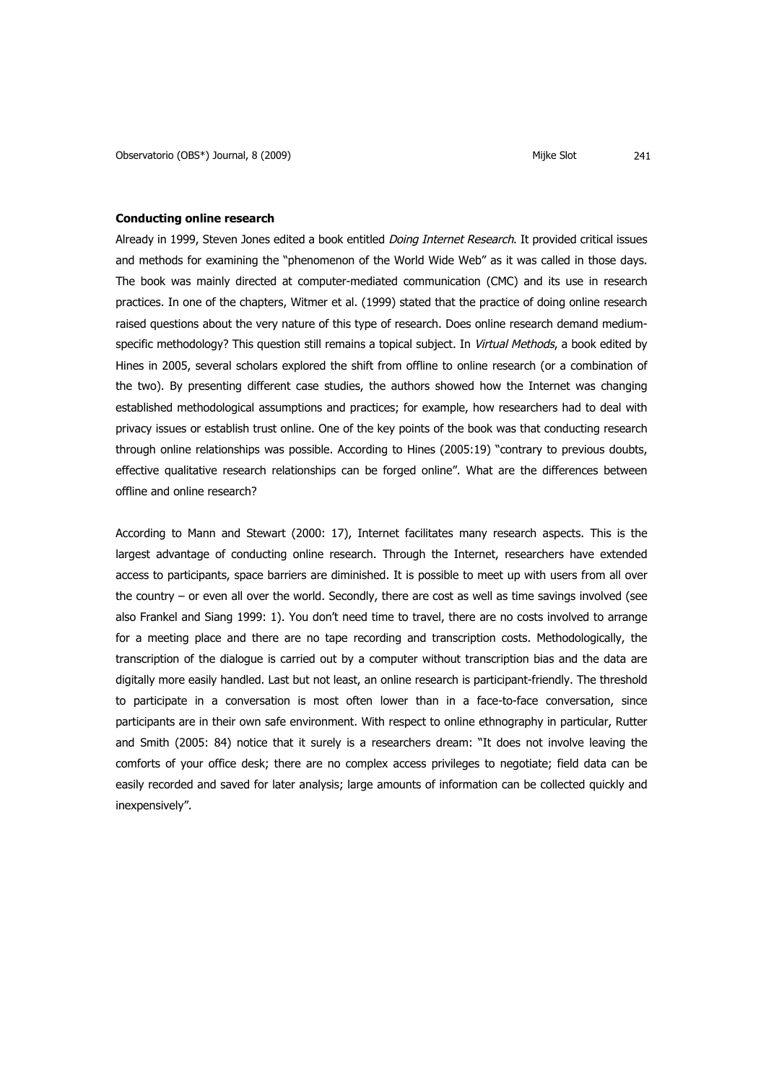### **Conducting online research**

Already in 1999, Steven Jones edited a book entitled *Doing Internet Research*. It provided critical issues and methods for examining the "phenomenon of the World Wide Web" as it was called in those days. The book was mainly directed at computer-mediated communication (CMC) and its use in research practices. In one of the chapters, Witmer et al. (1999) stated that the practice of doing online research raised questions about the very nature of this type of research. Does online research demand mediumspecific methodology? This question still remains a topical subject. In Virtual Methods, a book edited by Hines in 2005, several scholars explored the shift from offline to online research (or a combination of the two). By presenting different case studies, the authors showed how the Internet was changing established methodological assumptions and practices; for example, how researchers had to deal with privacy issues or establish trust online. One of the key points of the book was that conducting research through online relationships was possible. According to Hines (2005:19) "contrary to previous doubts, effective qualitative research relationships can be forged online". What are the differences between offline and online research?

According to Mann and Stewart (2000: 17), Internet facilitates many research aspects. This is the largest advantage of conducting online research. Through the Internet, researchers have extended access to participants, space barriers are diminished. It is possible to meet up with users from all over the country – or even all over the world. Secondly, there are cost as well as time savings involved (see also Frankel and Siang 1999: 1). You don't need time to travel, there are no costs involved to arrange for a meeting place and there are no tape recording and transcription costs. Methodologically, the transcription of the dialogue is carried out by a computer without transcription bias and the data are digitally more easily handled. Last but not least, an online research is participant-friendly. The threshold to participate in a conversation is most often lower than in a face-to-face conversation, since participants are in their own safe environment. With respect to online ethnography in particular, Rutter and Smith (2005: 84) notice that it surely is a researchers dream: "It does not involve leaving the comforts of your office desk; there are no complex access privileges to negotiate; field data can be easily recorded and saved for later analysis; large amounts of information can be collected quickly and inexpensively".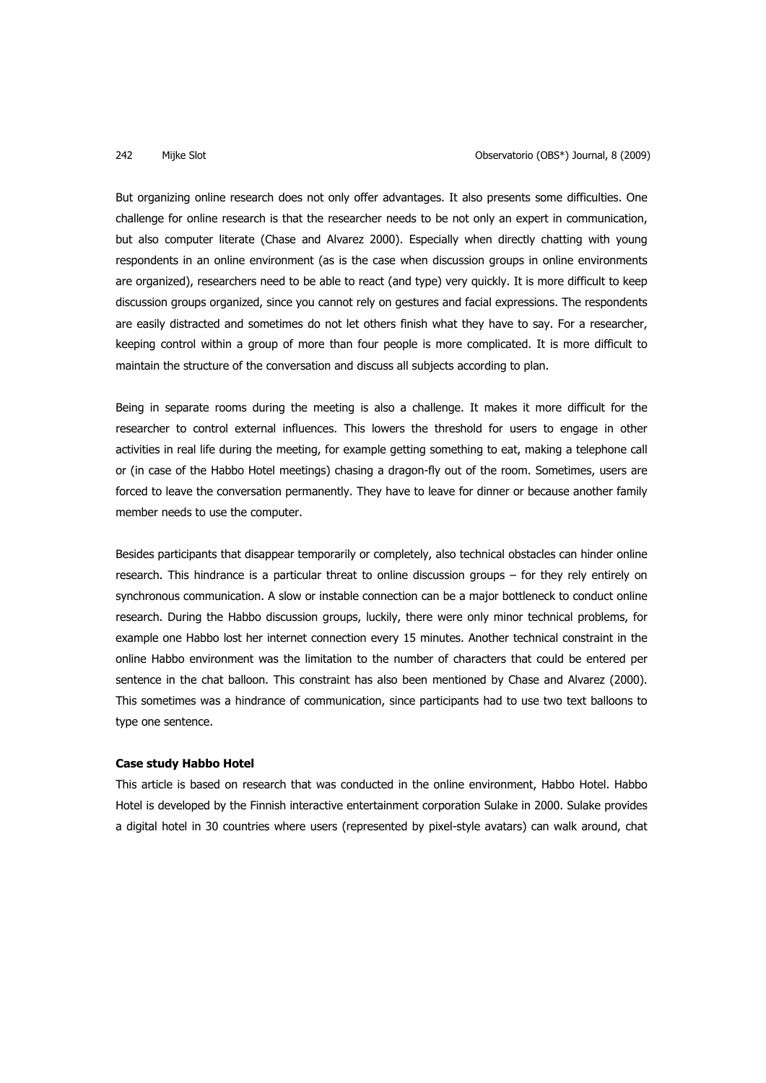But organizing online research does not only offer advantages. It also presents some difficulties. One challenge for online research is that the researcher needs to be not only an expert in communication, but also computer literate (Chase and Alvarez 2000). Especially when directly chatting with young respondents in an online environment (as is the case when discussion groups in online environments are organized), researchers need to be able to react (and type) very quickly. It is more difficult to keep discussion groups organized, since you cannot rely on gestures and facial expressions. The respondents are easily distracted and sometimes do not let others finish what they have to say. For a researcher, keeping control within a group of more than four people is more complicated. It is more difficult to maintain the structure of the conversation and discuss all subjects according to plan.

Being in separate rooms during the meeting is also a challenge. It makes it more difficult for the researcher to control external influences. This lowers the threshold for users to engage in other activities in real life during the meeting, for example getting something to eat, making a telephone call or (in case of the Habbo Hotel meetings) chasing a dragon-fly out of the room. Sometimes, users are forced to leave the conversation permanently. They have to leave for dinner or because another family member needs to use the computer.

Besides participants that disappear temporarily or completely, also technical obstacles can hinder online research. This hindrance is a particular threat to online discussion groups – for they rely entirely on synchronous communication. A slow or instable connection can be a major bottleneck to conduct online research. During the Habbo discussion groups, luckily, there were only minor technical problems, for example one Habbo lost her internet connection every 15 minutes. Another technical constraint in the online Habbo environment was the limitation to the number of characters that could be entered per sentence in the chat balloon. This constraint has also been mentioned by Chase and Alvarez (2000). This sometimes was a hindrance of communication, since participants had to use two text balloons to type one sentence.

#### **Case study Habbo Hotel**

This article is based on research that was conducted in the online environment, Habbo Hotel. Habbo Hotel is developed by the Finnish interactive entertainment corporation Sulake in 2000. Sulake provides a digital hotel in 30 countries where users (represented by pixel-style avatars) can walk around, chat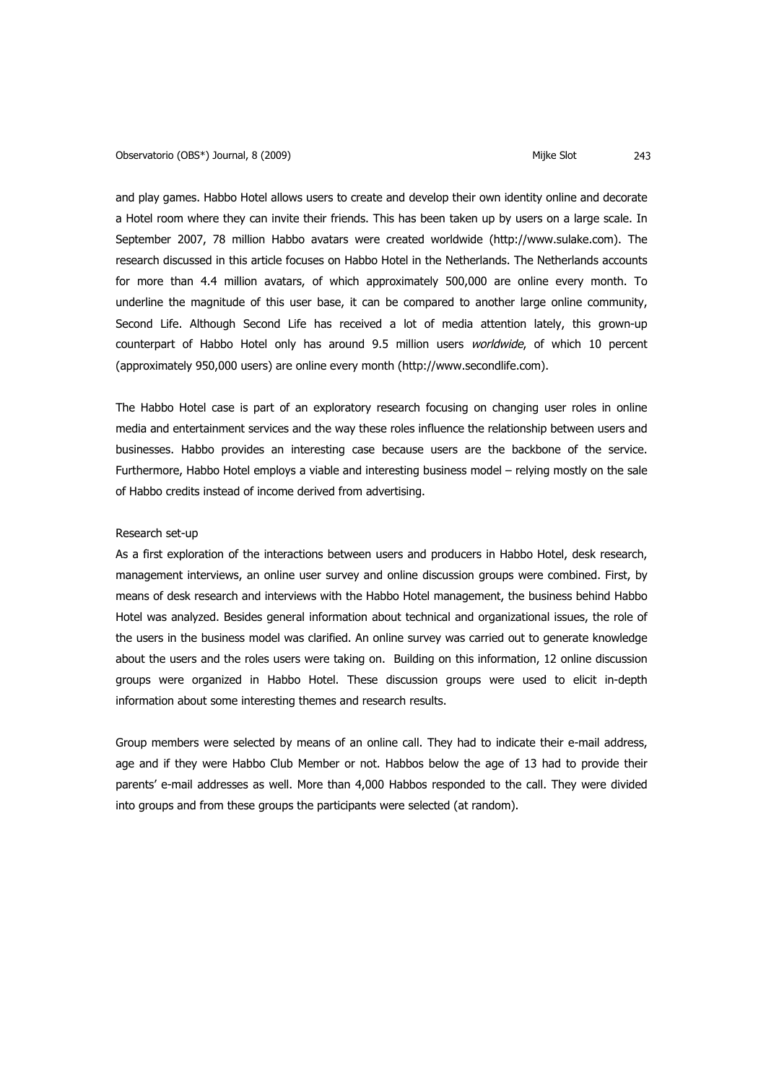and play games. Habbo Hotel allows users to create and develop their own identity online and decorate a Hotel room where they can invite their friends. This has been taken up by users on a large scale. In September 2007, 78 million Habbo avatars were created worldwide (http://www.sulake.com). The research discussed in this article focuses on Habbo Hotel in the Netherlands. The Netherlands accounts for more than 4.4 million avatars, of which approximately 500,000 are online every month. To underline the magnitude of this user base, it can be compared to another large online community, Second Life. Although Second Life has received a lot of media attention lately, this grown-up counterpart of Habbo Hotel only has around 9.5 million users worldwide, of which 10 percent (approximately 950,000 users) are online every month (http://www.secondlife.com).

The Habbo Hotel case is part of an exploratory research focusing on changing user roles in online media and entertainment services and the way these roles influence the relationship between users and businesses. Habbo provides an interesting case because users are the backbone of the service. Furthermore, Habbo Hotel employs a viable and interesting business model – relying mostly on the sale of Habbo credits instead of income derived from advertising.

### Research set-up

As a first exploration of the interactions between users and producers in Habbo Hotel, desk research, management interviews, an online user survey and online discussion groups were combined. First, by means of desk research and interviews with the Habbo Hotel management, the business behind Habbo Hotel was analyzed. Besides general information about technical and organizational issues, the role of the users in the business model was clarified. An online survey was carried out to generate knowledge about the users and the roles users were taking on. Building on this information, 12 online discussion groups were organized in Habbo Hotel. These discussion groups were used to elicit in-depth information about some interesting themes and research results.

Group members were selected by means of an online call. They had to indicate their e-mail address, age and if they were Habbo Club Member or not. Habbos below the age of 13 had to provide their parents' e-mail addresses as well. More than 4,000 Habbos responded to the call. They were divided into groups and from these groups the participants were selected (at random).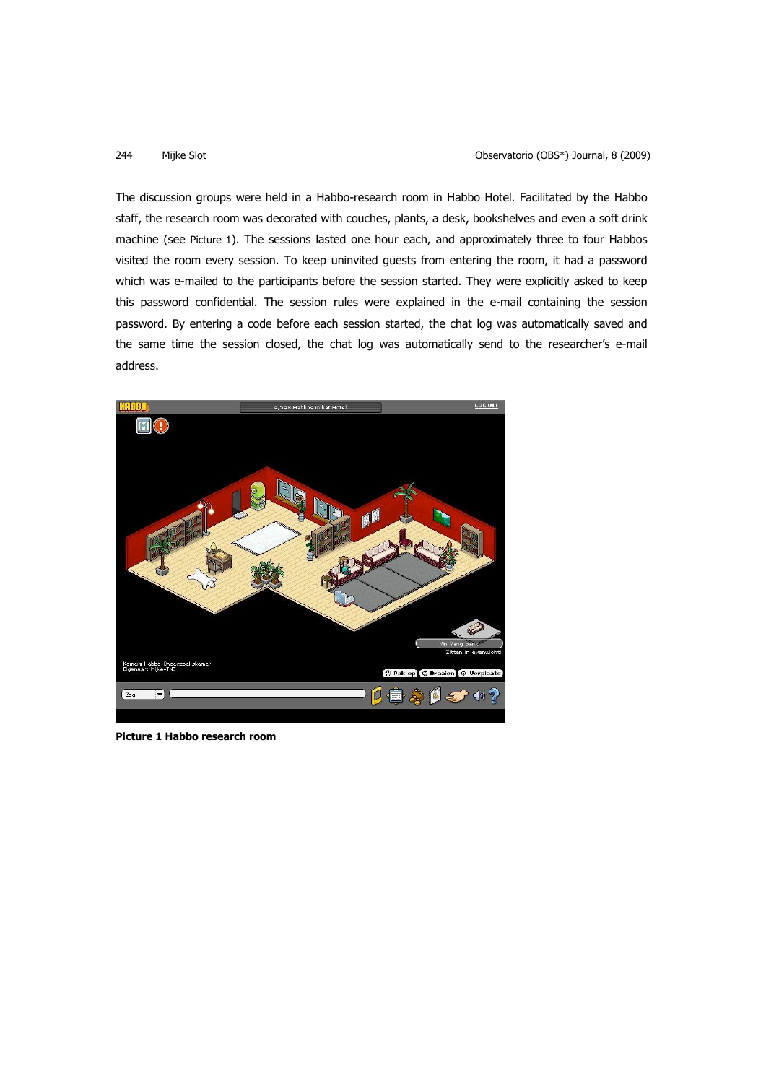The discussion groups were held in a Habbo-research room in Habbo Hotel. Facilitated by the Habbo staff, the research room was decorated with couches, plants, a desk, bookshelves and even a soft drink machine (see Picture 1). The sessions lasted one hour each, and approximately three to four Habbos visited the room every session. To keep uninvited guests from entering the room, it had a password which was e-mailed to the participants before the session started. They were explicitly asked to keep this password confidential. The session rules were explained in the e-mail containing the session password. By entering a code before each session started, the chat log was automatically saved and the same time the session closed, the chat log was automatically send to the researcher's e-mail address.



**Picture 1 Habbo research room**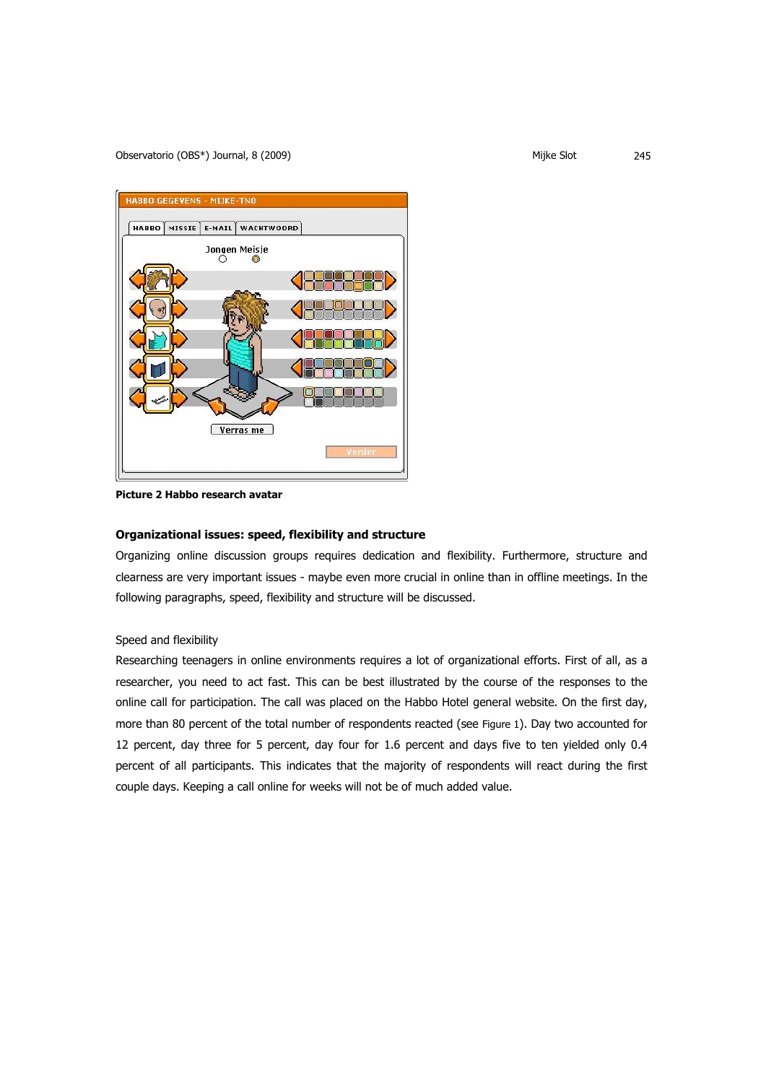

**Picture 2 Habbo research avatar** 

# **Organizational issues: speed, flexibility and structure**

Organizing online discussion groups requires dedication and flexibility. Furthermore, structure and clearness are very important issues - maybe even more crucial in online than in offline meetings. In the following paragraphs, speed, flexibility and structure will be discussed.

# Speed and flexibility

Researching teenagers in online environments requires a lot of organizational efforts. First of all, as a researcher, you need to act fast. This can be best illustrated by the course of the responses to the online call for participation. The call was placed on the Habbo Hotel general website. On the first day, more than 80 percent of the total number of respondents reacted (see Figure 1). Day two accounted for 12 percent, day three for 5 percent, day four for 1.6 percent and days five to ten yielded only 0.4 percent of all participants. This indicates that the majority of respondents will react during the first couple days. Keeping a call online for weeks will not be of much added value.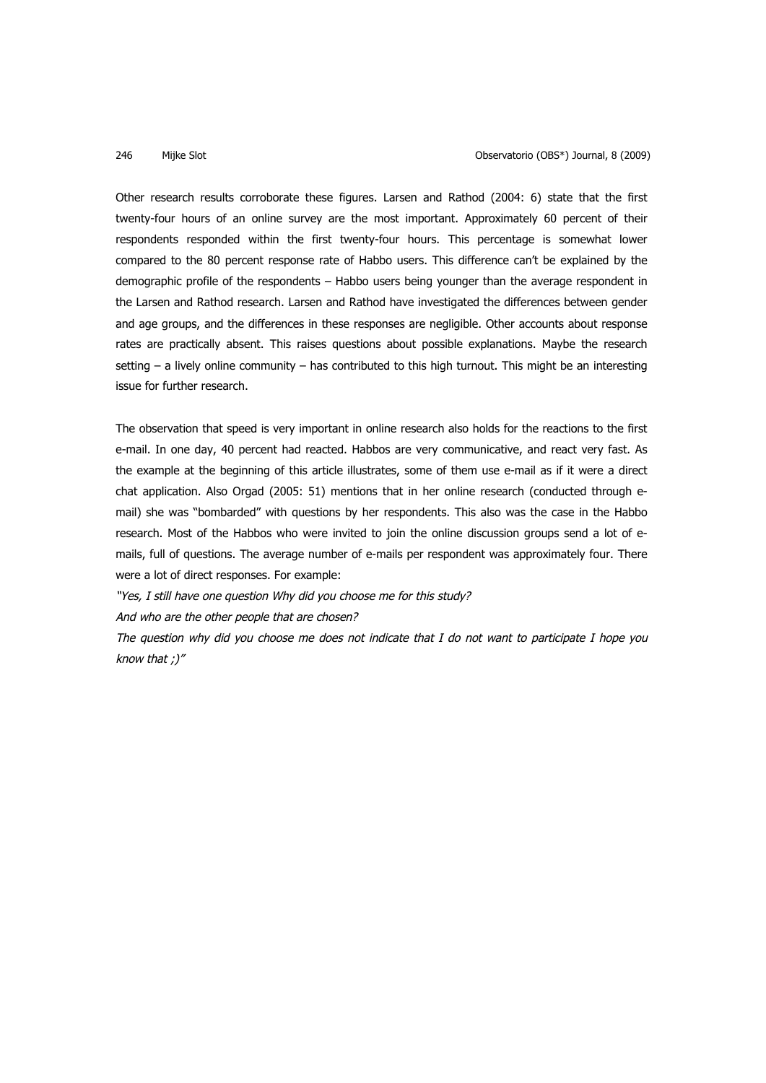Other research results corroborate these figures. Larsen and Rathod (2004: 6) state that the first twenty-four hours of an online survey are the most important. Approximately 60 percent of their respondents responded within the first twenty-four hours. This percentage is somewhat lower compared to the 80 percent response rate of Habbo users. This difference can't be explained by the demographic profile of the respondents – Habbo users being younger than the average respondent in the Larsen and Rathod research. Larsen and Rathod have investigated the differences between gender and age groups, and the differences in these responses are negligible. Other accounts about response rates are practically absent. This raises questions about possible explanations. Maybe the research setting – a lively online community – has contributed to this high turnout. This might be an interesting issue for further research.

The observation that speed is very important in online research also holds for the reactions to the first e-mail. In one day, 40 percent had reacted. Habbos are very communicative, and react very fast. As the example at the beginning of this article illustrates, some of them use e-mail as if it were a direct chat application. Also Orgad (2005: 51) mentions that in her online research (conducted through email) she was "bombarded" with questions by her respondents. This also was the case in the Habbo research. Most of the Habbos who were invited to join the online discussion groups send a lot of emails, full of questions. The average number of e-mails per respondent was approximately four. There were a lot of direct responses. For example:

"Yes, I still have one question Why did you choose me for this study?

And who are the other people that are chosen?

The question why did you choose me does not indicate that I do not want to participate I hope you know that ;)"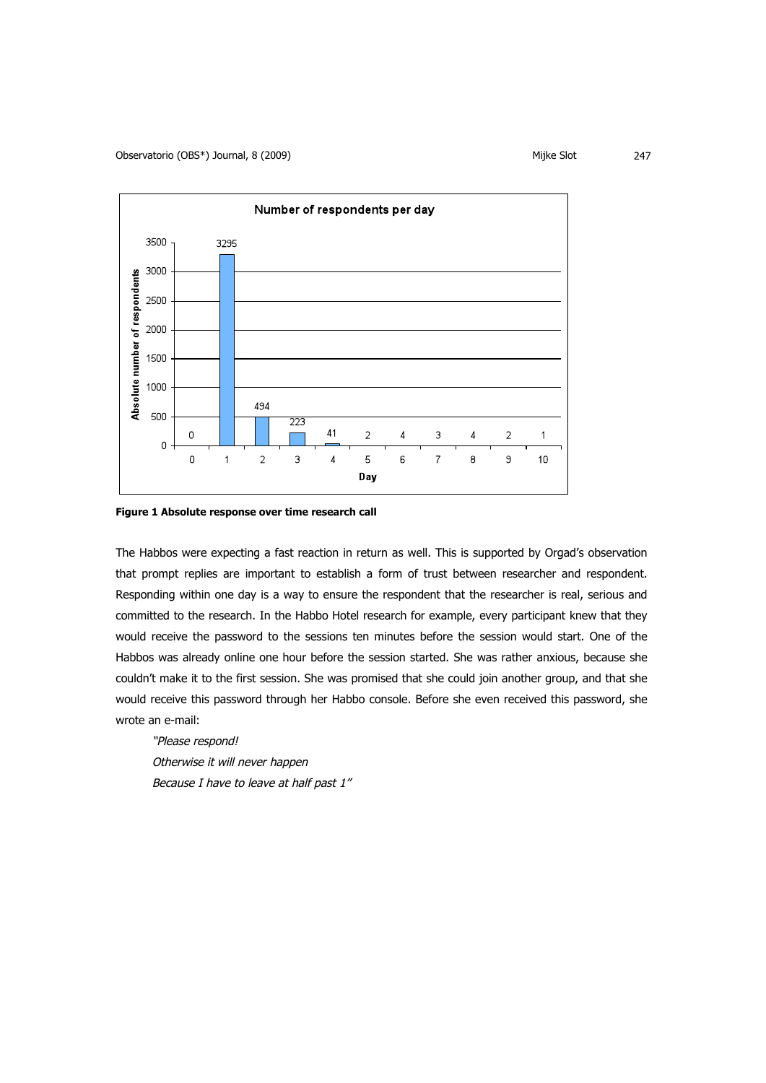

**Figure 1 Absolute response over time research call**

The Habbos were expecting a fast reaction in return as well. This is supported by Orgad's observation that prompt replies are important to establish a form of trust between researcher and respondent. Responding within one day is a way to ensure the respondent that the researcher is real, serious and committed to the research. In the Habbo Hotel research for example, every participant knew that they would receive the password to the sessions ten minutes before the session would start. One of the Habbos was already online one hour before the session started. She was rather anxious, because she couldn't make it to the first session. She was promised that she could join another group, and that she would receive this password through her Habbo console. Before she even received this password, she wrote an e-mail:

"Please respond! Otherwise it will never happen Because I have to leave at half past 1"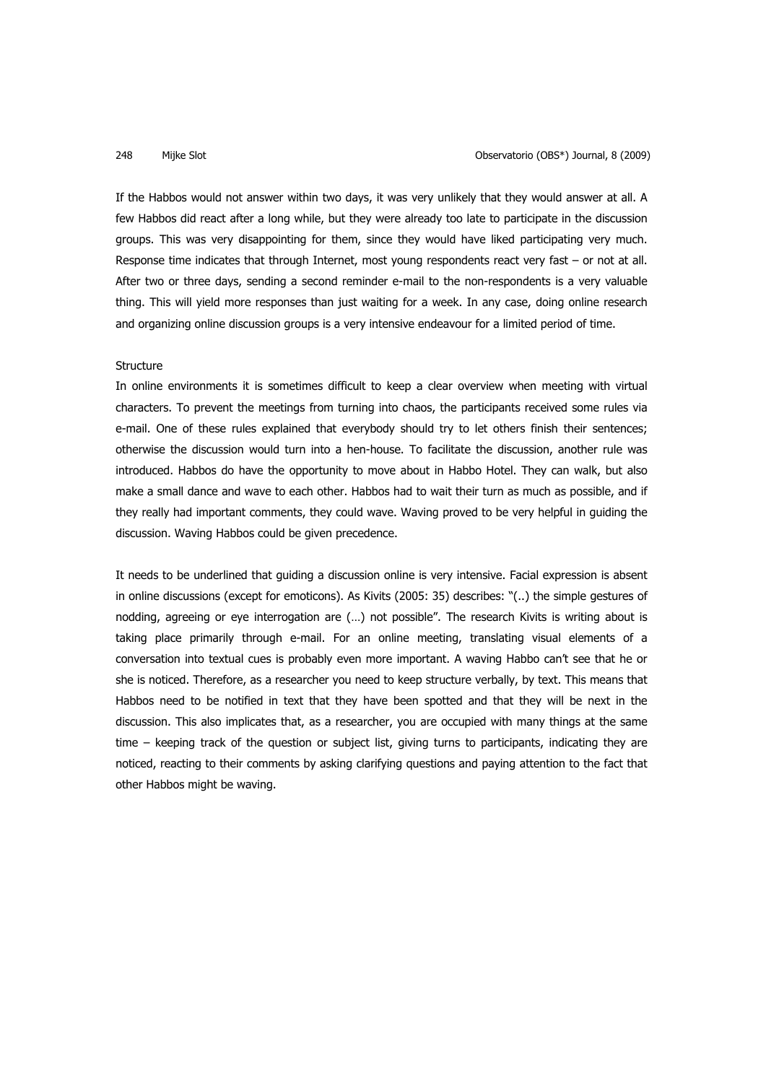If the Habbos would not answer within two days, it was very unlikely that they would answer at all. A few Habbos did react after a long while, but they were already too late to participate in the discussion groups. This was very disappointing for them, since they would have liked participating very much. Response time indicates that through Internet, most young respondents react very fast – or not at all. After two or three days, sending a second reminder e-mail to the non-respondents is a very valuable thing. This will yield more responses than just waiting for a week. In any case, doing online research and organizing online discussion groups is a very intensive endeavour for a limited period of time.

# **Structure**

In online environments it is sometimes difficult to keep a clear overview when meeting with virtual characters. To prevent the meetings from turning into chaos, the participants received some rules via e-mail. One of these rules explained that everybody should try to let others finish their sentences; otherwise the discussion would turn into a hen-house. To facilitate the discussion, another rule was introduced. Habbos do have the opportunity to move about in Habbo Hotel. They can walk, but also make a small dance and wave to each other. Habbos had to wait their turn as much as possible, and if they really had important comments, they could wave. Waving proved to be very helpful in guiding the discussion. Waving Habbos could be given precedence.

It needs to be underlined that guiding a discussion online is very intensive. Facial expression is absent in online discussions (except for emoticons). As Kivits (2005: 35) describes: "(..) the simple gestures of nodding, agreeing or eye interrogation are (…) not possible". The research Kivits is writing about is taking place primarily through e-mail. For an online meeting, translating visual elements of a conversation into textual cues is probably even more important. A waving Habbo can't see that he or she is noticed. Therefore, as a researcher you need to keep structure verbally, by text. This means that Habbos need to be notified in text that they have been spotted and that they will be next in the discussion. This also implicates that, as a researcher, you are occupied with many things at the same time – keeping track of the question or subject list, giving turns to participants, indicating they are noticed, reacting to their comments by asking clarifying questions and paying attention to the fact that other Habbos might be waving.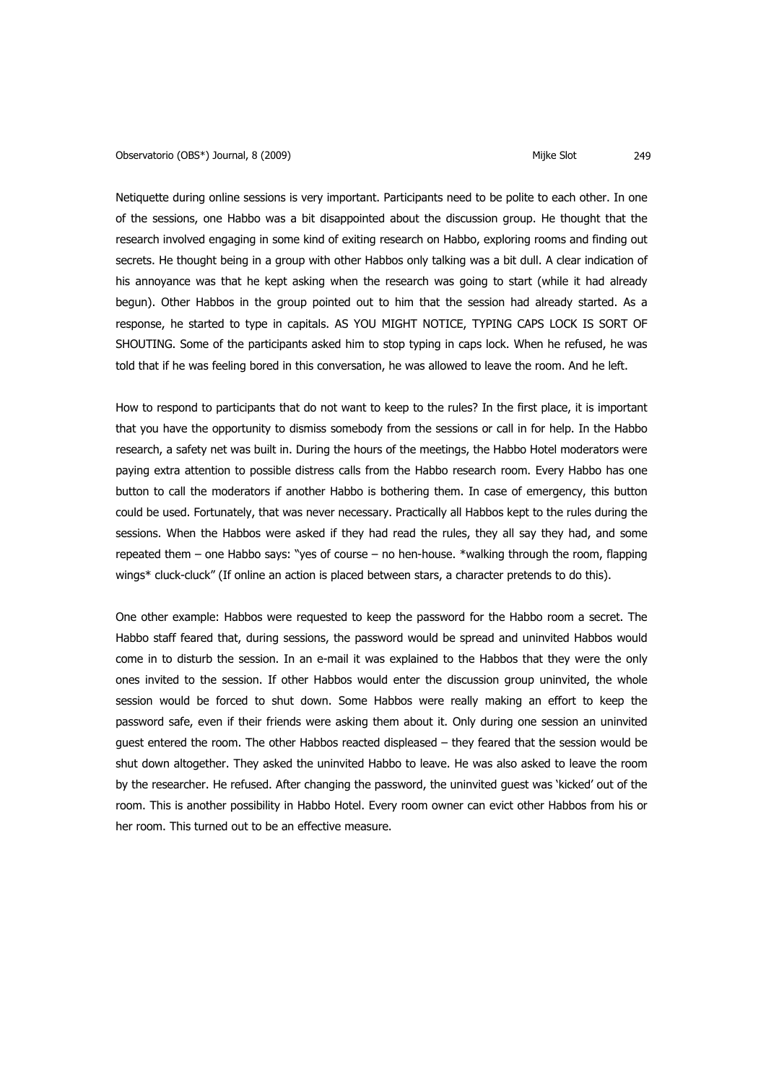### Observatorio (OBS\*) Journal, 8 (2009) (Observatorio (OBS\*) Journal, 8 (2009)

Netiquette during online sessions is very important. Participants need to be polite to each other. In one of the sessions, one Habbo was a bit disappointed about the discussion group. He thought that the research involved engaging in some kind of exiting research on Habbo, exploring rooms and finding out secrets. He thought being in a group with other Habbos only talking was a bit dull. A clear indication of his annoyance was that he kept asking when the research was going to start (while it had already begun). Other Habbos in the group pointed out to him that the session had already started. As a response, he started to type in capitals. AS YOU MIGHT NOTICE, TYPING CAPS LOCK IS SORT OF SHOUTING. Some of the participants asked him to stop typing in caps lock. When he refused, he was told that if he was feeling bored in this conversation, he was allowed to leave the room. And he left.

How to respond to participants that do not want to keep to the rules? In the first place, it is important that you have the opportunity to dismiss somebody from the sessions or call in for help. In the Habbo research, a safety net was built in. During the hours of the meetings, the Habbo Hotel moderators were paying extra attention to possible distress calls from the Habbo research room. Every Habbo has one button to call the moderators if another Habbo is bothering them. In case of emergency, this button could be used. Fortunately, that was never necessary. Practically all Habbos kept to the rules during the sessions. When the Habbos were asked if they had read the rules, they all say they had, and some repeated them – one Habbo says: "yes of course – no hen-house. \*walking through the room, flapping wings\* cluck-cluck" (If online an action is placed between stars, a character pretends to do this).

One other example: Habbos were requested to keep the password for the Habbo room a secret. The Habbo staff feared that, during sessions, the password would be spread and uninvited Habbos would come in to disturb the session. In an e-mail it was explained to the Habbos that they were the only ones invited to the session. If other Habbos would enter the discussion group uninvited, the whole session would be forced to shut down. Some Habbos were really making an effort to keep the password safe, even if their friends were asking them about it. Only during one session an uninvited guest entered the room. The other Habbos reacted displeased – they feared that the session would be shut down altogether. They asked the uninvited Habbo to leave. He was also asked to leave the room by the researcher. He refused. After changing the password, the uninvited guest was 'kicked' out of the room. This is another possibility in Habbo Hotel. Every room owner can evict other Habbos from his or her room. This turned out to be an effective measure.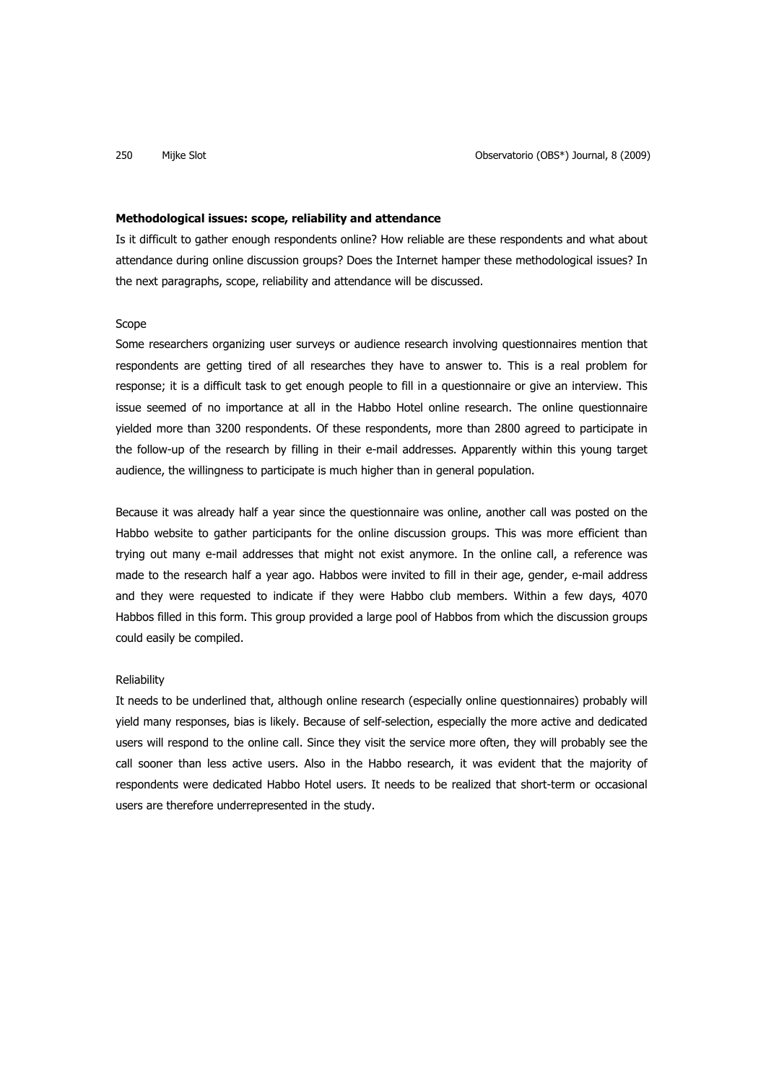# **Methodological issues: scope, reliability and attendance**

Is it difficult to gather enough respondents online? How reliable are these respondents and what about attendance during online discussion groups? Does the Internet hamper these methodological issues? In the next paragraphs, scope, reliability and attendance will be discussed.

# Scope

Some researchers organizing user surveys or audience research involving questionnaires mention that respondents are getting tired of all researches they have to answer to. This is a real problem for response; it is a difficult task to get enough people to fill in a questionnaire or give an interview. This issue seemed of no importance at all in the Habbo Hotel online research. The online questionnaire yielded more than 3200 respondents. Of these respondents, more than 2800 agreed to participate in the follow-up of the research by filling in their e-mail addresses. Apparently within this young target audience, the willingness to participate is much higher than in general population.

Because it was already half a year since the questionnaire was online, another call was posted on the Habbo website to gather participants for the online discussion groups. This was more efficient than trying out many e-mail addresses that might not exist anymore. In the online call, a reference was made to the research half a year ago. Habbos were invited to fill in their age, gender, e-mail address and they were requested to indicate if they were Habbo club members. Within a few days, 4070 Habbos filled in this form. This group provided a large pool of Habbos from which the discussion groups could easily be compiled.

# **Reliability**

It needs to be underlined that, although online research (especially online questionnaires) probably will yield many responses, bias is likely. Because of self-selection, especially the more active and dedicated users will respond to the online call. Since they visit the service more often, they will probably see the call sooner than less active users. Also in the Habbo research, it was evident that the majority of respondents were dedicated Habbo Hotel users. It needs to be realized that short-term or occasional users are therefore underrepresented in the study.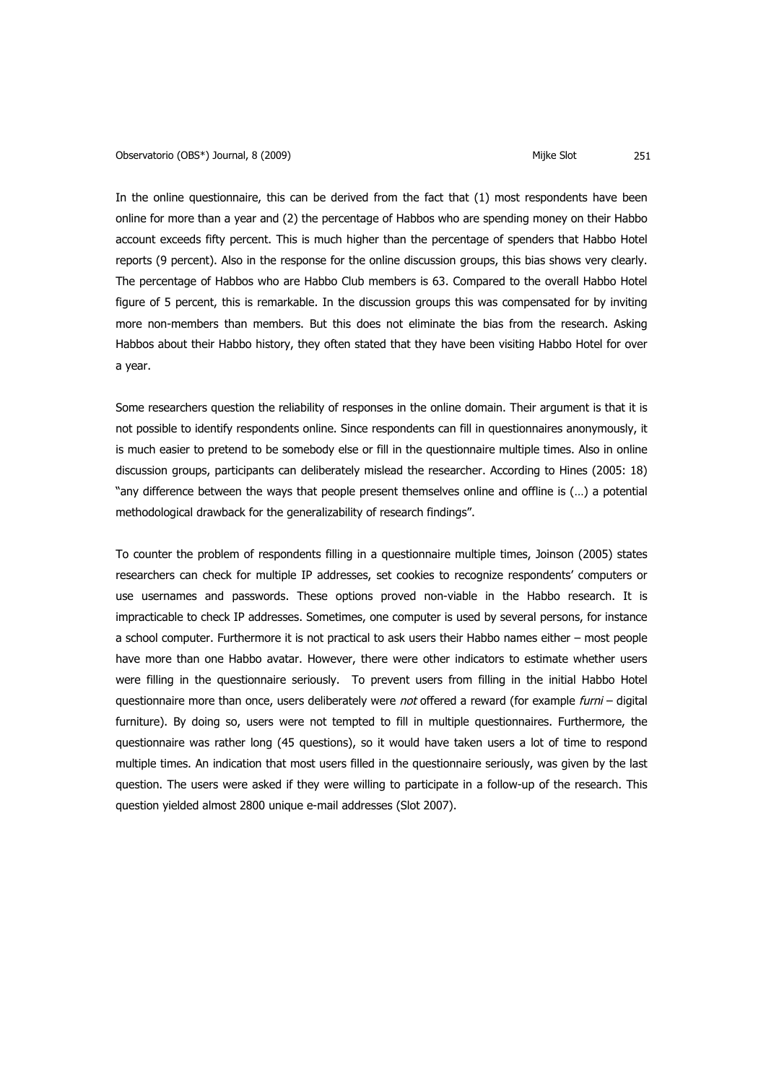In the online questionnaire, this can be derived from the fact that (1) most respondents have been online for more than a year and (2) the percentage of Habbos who are spending money on their Habbo account exceeds fifty percent. This is much higher than the percentage of spenders that Habbo Hotel reports (9 percent). Also in the response for the online discussion groups, this bias shows very clearly. The percentage of Habbos who are Habbo Club members is 63. Compared to the overall Habbo Hotel figure of 5 percent, this is remarkable. In the discussion groups this was compensated for by inviting more non-members than members. But this does not eliminate the bias from the research. Asking Habbos about their Habbo history, they often stated that they have been visiting Habbo Hotel for over a year.

Some researchers question the reliability of responses in the online domain. Their argument is that it is not possible to identify respondents online. Since respondents can fill in questionnaires anonymously, it is much easier to pretend to be somebody else or fill in the questionnaire multiple times. Also in online discussion groups, participants can deliberately mislead the researcher. According to Hines (2005: 18) "any difference between the ways that people present themselves online and offline is (…) a potential methodological drawback for the generalizability of research findings".

To counter the problem of respondents filling in a questionnaire multiple times, Joinson (2005) states researchers can check for multiple IP addresses, set cookies to recognize respondents' computers or use usernames and passwords. These options proved non-viable in the Habbo research. It is impracticable to check IP addresses. Sometimes, one computer is used by several persons, for instance a school computer. Furthermore it is not practical to ask users their Habbo names either – most people have more than one Habbo avatar. However, there were other indicators to estimate whether users were filling in the questionnaire seriously. To prevent users from filling in the initial Habbo Hotel questionnaire more than once, users deliberately were not offered a reward (for example furni – digital furniture). By doing so, users were not tempted to fill in multiple questionnaires. Furthermore, the questionnaire was rather long (45 questions), so it would have taken users a lot of time to respond multiple times. An indication that most users filled in the questionnaire seriously, was given by the last question. The users were asked if they were willing to participate in a follow-up of the research. This question yielded almost 2800 unique e-mail addresses (Slot 2007).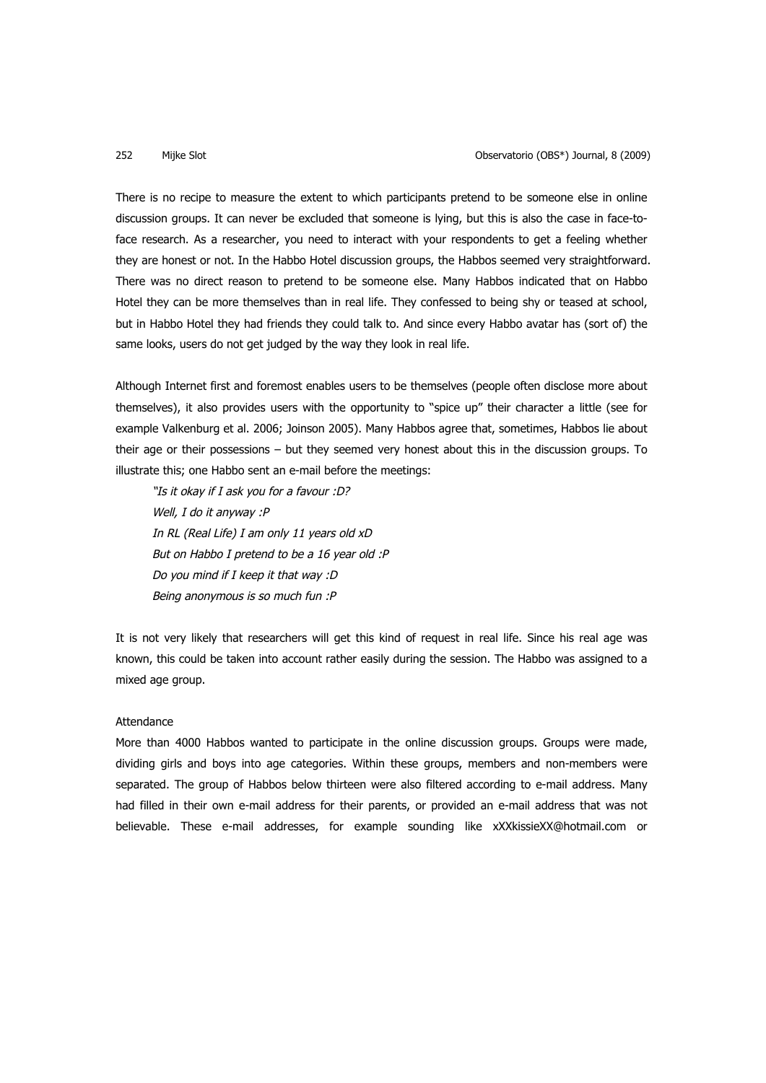There is no recipe to measure the extent to which participants pretend to be someone else in online discussion groups. It can never be excluded that someone is lying, but this is also the case in face-toface research. As a researcher, you need to interact with your respondents to get a feeling whether they are honest or not. In the Habbo Hotel discussion groups, the Habbos seemed very straightforward. There was no direct reason to pretend to be someone else. Many Habbos indicated that on Habbo Hotel they can be more themselves than in real life. They confessed to being shy or teased at school, but in Habbo Hotel they had friends they could talk to. And since every Habbo avatar has (sort of) the same looks, users do not get judged by the way they look in real life.

Although Internet first and foremost enables users to be themselves (people often disclose more about themselves), it also provides users with the opportunity to "spice up" their character a little (see for example Valkenburg et al. 2006; Joinson 2005). Many Habbos agree that, sometimes, Habbos lie about their age or their possessions – but they seemed very honest about this in the discussion groups. To illustrate this; one Habbo sent an e-mail before the meetings:

"Is it okay if I ask you for a favour :D? Well, I do it anyway :P In RL (Real Life) I am only 11 years old xD But on Habbo I pretend to be a 16 year old :P Do you mind if I keep it that way :D Being anonymous is so much fun :P

It is not very likely that researchers will get this kind of request in real life. Since his real age was known, this could be taken into account rather easily during the session. The Habbo was assigned to a mixed age group.

# Attendance

More than 4000 Habbos wanted to participate in the online discussion groups. Groups were made, dividing girls and boys into age categories. Within these groups, members and non-members were separated. The group of Habbos below thirteen were also filtered according to e-mail address. Many had filled in their own e-mail address for their parents, or provided an e-mail address that was not believable. These e-mail addresses, for example sounding like xXXkissieXX@hotmail.com or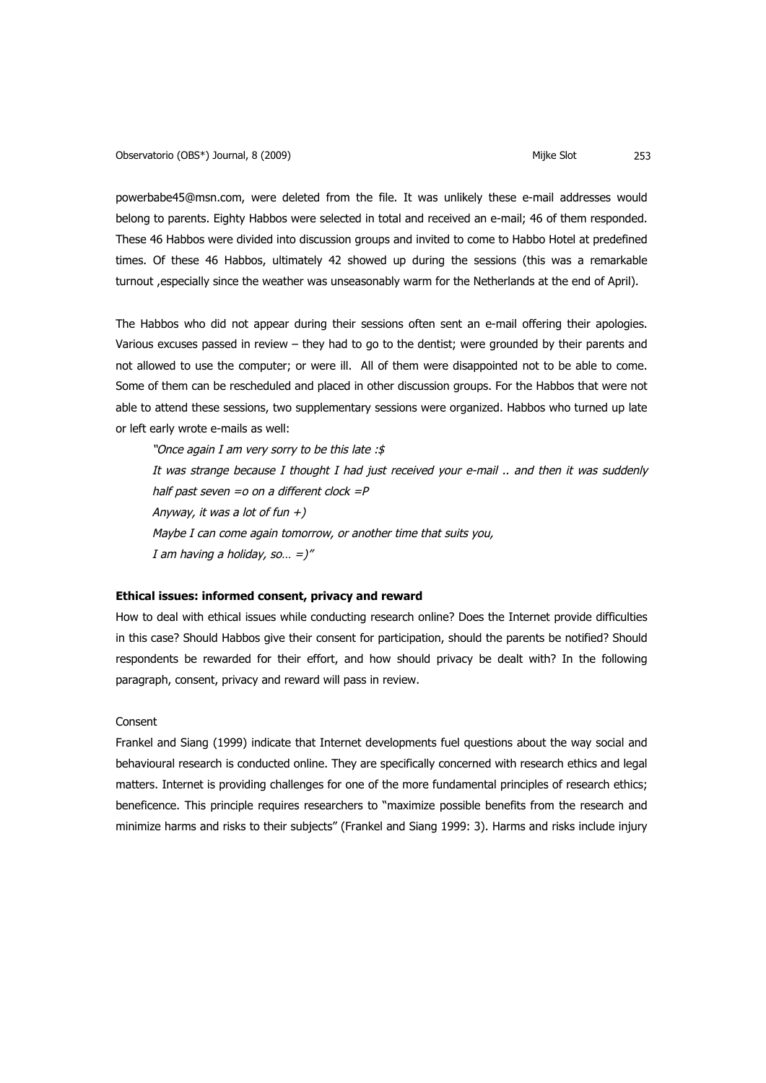powerbabe45@msn.com, were deleted from the file. It was unlikely these e-mail addresses would belong to parents. Eighty Habbos were selected in total and received an e-mail; 46 of them responded. These 46 Habbos were divided into discussion groups and invited to come to Habbo Hotel at predefined times. Of these 46 Habbos, ultimately 42 showed up during the sessions (this was a remarkable turnout ,especially since the weather was unseasonably warm for the Netherlands at the end of April).

The Habbos who did not appear during their sessions often sent an e-mail offering their apologies. Various excuses passed in review – they had to go to the dentist; were grounded by their parents and not allowed to use the computer; or were ill. All of them were disappointed not to be able to come. Some of them can be rescheduled and placed in other discussion groups. For the Habbos that were not able to attend these sessions, two supplementary sessions were organized. Habbos who turned up late or left early wrote e-mails as well:

"Once again I am very sorry to be this late :\$ It was strange because I thought I had just received your e-mail .. and then it was suddenly half past seven  $=$ o on a different clock  $=$ P Anyway, it was a lot of fun  $+)$ Maybe I can come again tomorrow, or another time that suits you, I am having a holiday, so...  $=$ )"

## **Ethical issues: informed consent, privacy and reward**

How to deal with ethical issues while conducting research online? Does the Internet provide difficulties in this case? Should Habbos give their consent for participation, should the parents be notified? Should respondents be rewarded for their effort, and how should privacy be dealt with? In the following paragraph, consent, privacy and reward will pass in review.

### Consent

Frankel and Siang (1999) indicate that Internet developments fuel questions about the way social and behavioural research is conducted online. They are specifically concerned with research ethics and legal matters. Internet is providing challenges for one of the more fundamental principles of research ethics; beneficence. This principle requires researchers to "maximize possible benefits from the research and minimize harms and risks to their subjects" (Frankel and Siang 1999: 3). Harms and risks include injury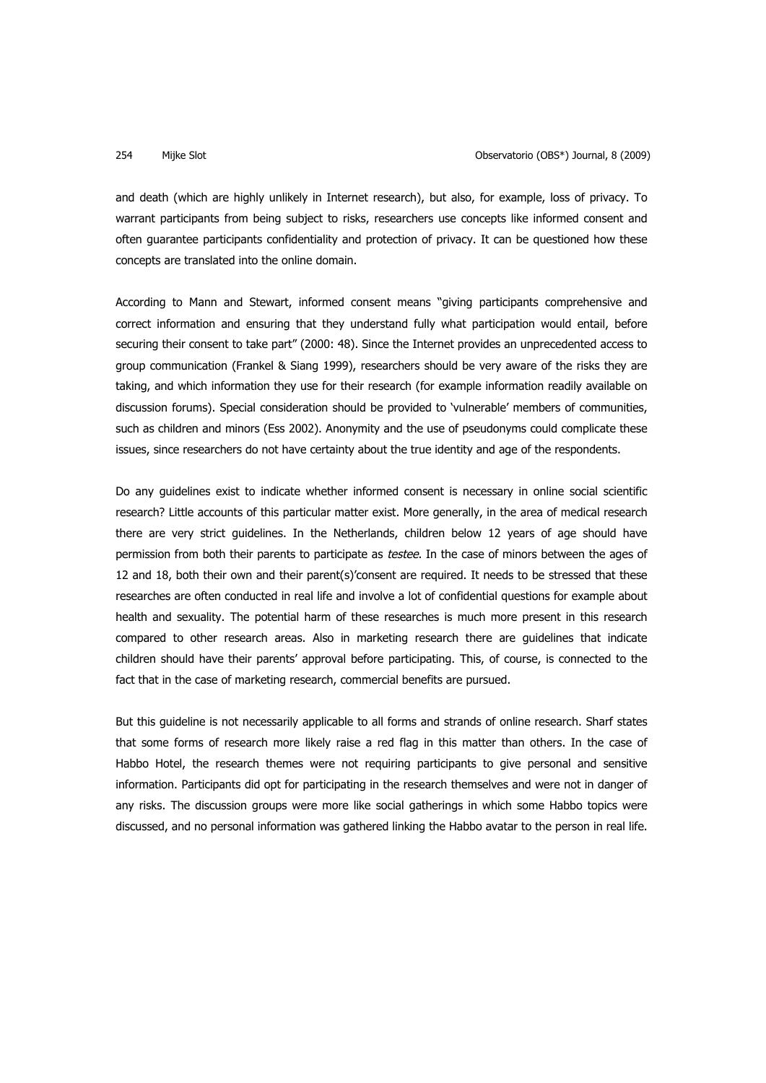and death (which are highly unlikely in Internet research), but also, for example, loss of privacy. To warrant participants from being subject to risks, researchers use concepts like informed consent and often guarantee participants confidentiality and protection of privacy. It can be questioned how these concepts are translated into the online domain.

According to Mann and Stewart, informed consent means "giving participants comprehensive and correct information and ensuring that they understand fully what participation would entail, before securing their consent to take part" (2000: 48). Since the Internet provides an unprecedented access to group communication (Frankel & Siang 1999), researchers should be very aware of the risks they are taking, and which information they use for their research (for example information readily available on discussion forums). Special consideration should be provided to 'vulnerable' members of communities, such as children and minors (Ess 2002). Anonymity and the use of pseudonyms could complicate these issues, since researchers do not have certainty about the true identity and age of the respondents.

Do any guidelines exist to indicate whether informed consent is necessary in online social scientific research? Little accounts of this particular matter exist. More generally, in the area of medical research there are very strict guidelines. In the Netherlands, children below 12 years of age should have permission from both their parents to participate as testee. In the case of minors between the ages of 12 and 18, both their own and their parent(s)'consent are required. It needs to be stressed that these researches are often conducted in real life and involve a lot of confidential questions for example about health and sexuality. The potential harm of these researches is much more present in this research compared to other research areas. Also in marketing research there are guidelines that indicate children should have their parents' approval before participating. This, of course, is connected to the fact that in the case of marketing research, commercial benefits are pursued.

But this guideline is not necessarily applicable to all forms and strands of online research. Sharf states that some forms of research more likely raise a red flag in this matter than others. In the case of Habbo Hotel, the research themes were not requiring participants to give personal and sensitive information. Participants did opt for participating in the research themselves and were not in danger of any risks. The discussion groups were more like social gatherings in which some Habbo topics were discussed, and no personal information was gathered linking the Habbo avatar to the person in real life.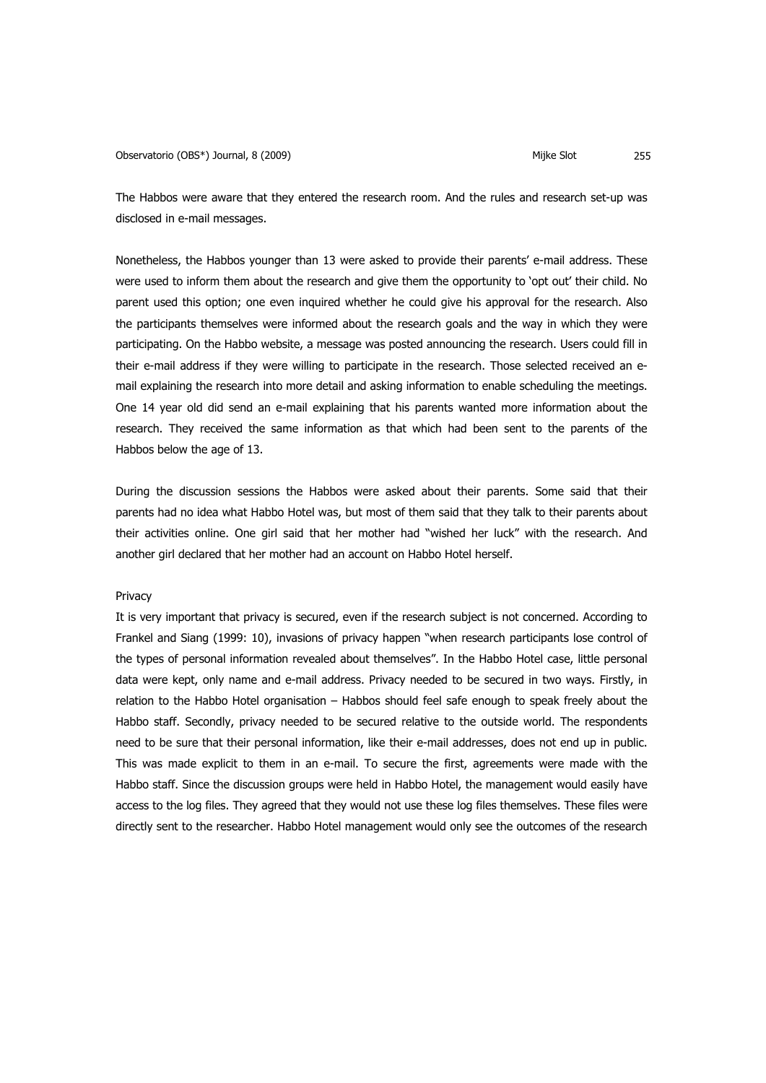The Habbos were aware that they entered the research room. And the rules and research set-up was disclosed in e-mail messages.

Nonetheless, the Habbos younger than 13 were asked to provide their parents' e-mail address. These were used to inform them about the research and give them the opportunity to 'opt out' their child. No parent used this option; one even inquired whether he could give his approval for the research. Also the participants themselves were informed about the research goals and the way in which they were participating. On the Habbo website, a message was posted announcing the research. Users could fill in their e-mail address if they were willing to participate in the research. Those selected received an email explaining the research into more detail and asking information to enable scheduling the meetings. One 14 year old did send an e-mail explaining that his parents wanted more information about the research. They received the same information as that which had been sent to the parents of the Habbos below the age of 13.

During the discussion sessions the Habbos were asked about their parents. Some said that their parents had no idea what Habbo Hotel was, but most of them said that they talk to their parents about their activities online. One girl said that her mother had "wished her luck" with the research. And another girl declared that her mother had an account on Habbo Hotel herself.

# Privacy

It is very important that privacy is secured, even if the research subject is not concerned. According to Frankel and Siang (1999: 10), invasions of privacy happen "when research participants lose control of the types of personal information revealed about themselves". In the Habbo Hotel case, little personal data were kept, only name and e-mail address. Privacy needed to be secured in two ways. Firstly, in relation to the Habbo Hotel organisation – Habbos should feel safe enough to speak freely about the Habbo staff. Secondly, privacy needed to be secured relative to the outside world. The respondents need to be sure that their personal information, like their e-mail addresses, does not end up in public. This was made explicit to them in an e-mail. To secure the first, agreements were made with the Habbo staff. Since the discussion groups were held in Habbo Hotel, the management would easily have access to the log files. They agreed that they would not use these log files themselves. These files were directly sent to the researcher. Habbo Hotel management would only see the outcomes of the research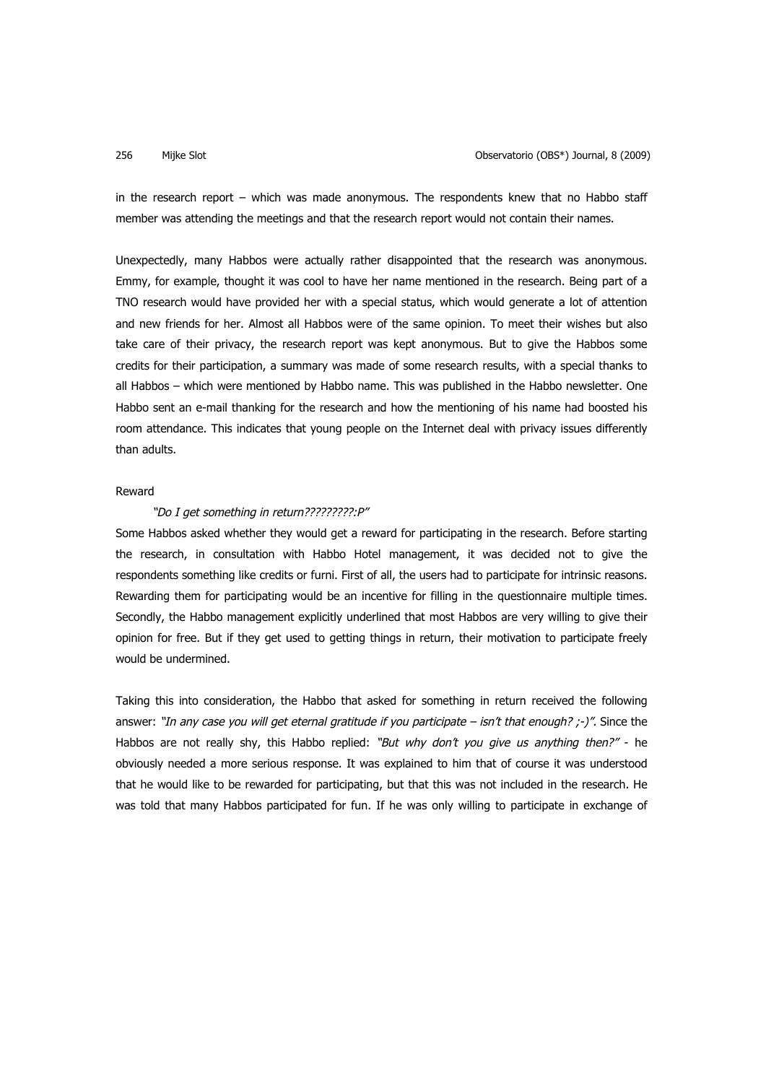in the research report – which was made anonymous. The respondents knew that no Habbo staff member was attending the meetings and that the research report would not contain their names.

Unexpectedly, many Habbos were actually rather disappointed that the research was anonymous. Emmy, for example, thought it was cool to have her name mentioned in the research. Being part of a TNO research would have provided her with a special status, which would generate a lot of attention and new friends for her. Almost all Habbos were of the same opinion. To meet their wishes but also take care of their privacy, the research report was kept anonymous. But to give the Habbos some credits for their participation, a summary was made of some research results, with a special thanks to all Habbos – which were mentioned by Habbo name. This was published in the Habbo newsletter. One Habbo sent an e-mail thanking for the research and how the mentioning of his name had boosted his room attendance. This indicates that young people on the Internet deal with privacy issues differently than adults.

# Reward

### "Do I get something in return???????????P"

Some Habbos asked whether they would get a reward for participating in the research. Before starting the research, in consultation with Habbo Hotel management, it was decided not to give the respondents something like credits or furni. First of all, the users had to participate for intrinsic reasons. Rewarding them for participating would be an incentive for filling in the questionnaire multiple times. Secondly, the Habbo management explicitly underlined that most Habbos are very willing to give their opinion for free. But if they get used to getting things in return, their motivation to participate freely would be undermined.

Taking this into consideration, the Habbo that asked for something in return received the following answer: "In any case you will get eternal gratitude if you participate – isn't that enough?  $\cdot$ -)". Since the Habbos are not really shy, this Habbo replied: "But why don't you give us anything then?" - he obviously needed a more serious response. It was explained to him that of course it was understood that he would like to be rewarded for participating, but that this was not included in the research. He was told that many Habbos participated for fun. If he was only willing to participate in exchange of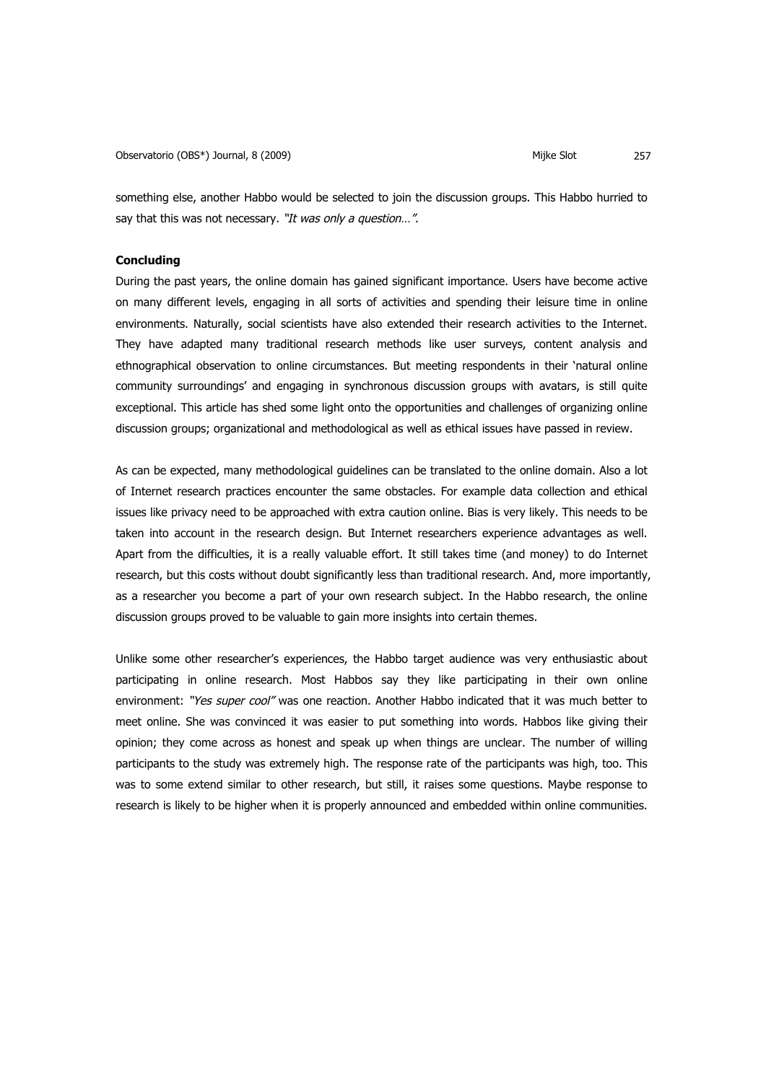something else, another Habbo would be selected to join the discussion groups. This Habbo hurried to say that this was not necessary. "It was only a question...".

# **Concluding**

During the past years, the online domain has gained significant importance. Users have become active on many different levels, engaging in all sorts of activities and spending their leisure time in online environments. Naturally, social scientists have also extended their research activities to the Internet. They have adapted many traditional research methods like user surveys, content analysis and ethnographical observation to online circumstances. But meeting respondents in their 'natural online community surroundings' and engaging in synchronous discussion groups with avatars, is still quite exceptional. This article has shed some light onto the opportunities and challenges of organizing online discussion groups; organizational and methodological as well as ethical issues have passed in review.

As can be expected, many methodological guidelines can be translated to the online domain. Also a lot of Internet research practices encounter the same obstacles. For example data collection and ethical issues like privacy need to be approached with extra caution online. Bias is very likely. This needs to be taken into account in the research design. But Internet researchers experience advantages as well. Apart from the difficulties, it is a really valuable effort. It still takes time (and money) to do Internet research, but this costs without doubt significantly less than traditional research. And, more importantly, as a researcher you become a part of your own research subject. In the Habbo research, the online discussion groups proved to be valuable to gain more insights into certain themes.

Unlike some other researcher's experiences, the Habbo target audience was very enthusiastic about participating in online research. Most Habbos say they like participating in their own online environment: "Yes super cool" was one reaction. Another Habbo indicated that it was much better to meet online. She was convinced it was easier to put something into words. Habbos like giving their opinion; they come across as honest and speak up when things are unclear. The number of willing participants to the study was extremely high. The response rate of the participants was high, too. This was to some extend similar to other research, but still, it raises some questions. Maybe response to research is likely to be higher when it is properly announced and embedded within online communities.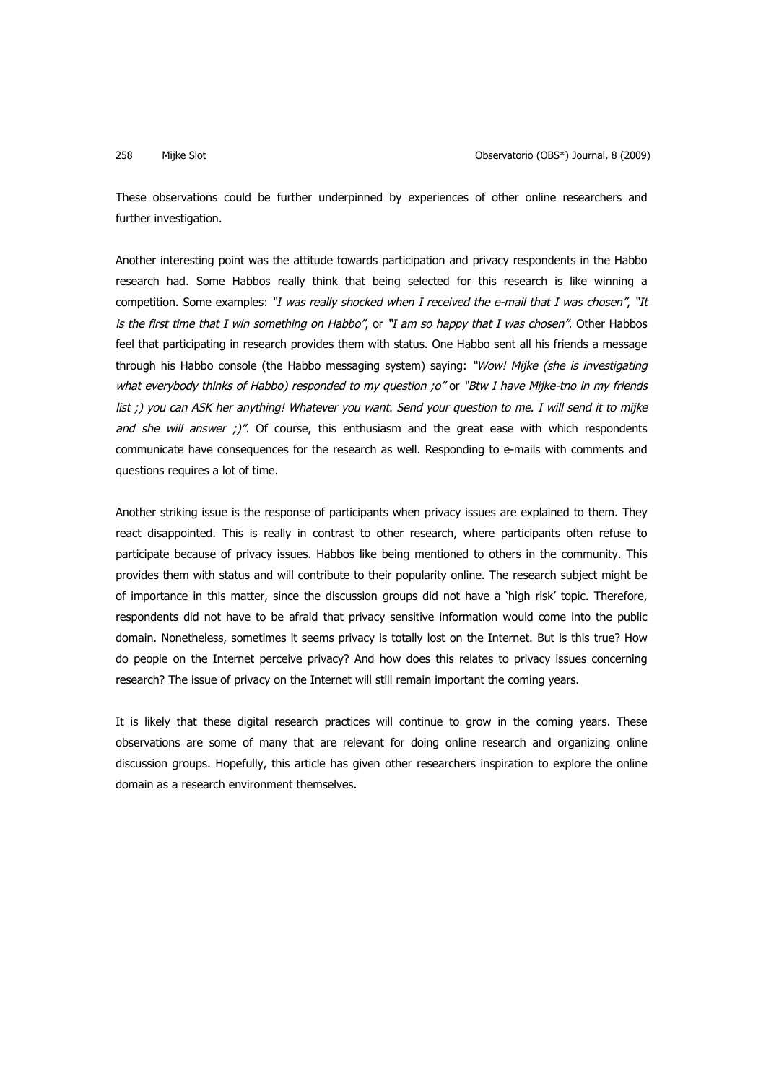These observations could be further underpinned by experiences of other online researchers and further investigation.

Another interesting point was the attitude towards participation and privacy respondents in the Habbo research had. Some Habbos really think that being selected for this research is like winning a competition. Some examples: "I was really shocked when I received the e-mail that I was chosen", "It is the first time that I win something on Habbo", or "I am so happy that I was chosen". Other Habbos feel that participating in research provides them with status. One Habbo sent all his friends a message through his Habbo console (the Habbo messaging system) saying: "Wow! Mijke (she is investigating what everybody thinks of Habbo) responded to my question ;o" or "Btw I have Mijke-tno in my friends list ;) you can ASK her anything! Whatever you want. Send your question to me. I will send it to mijke and she will answer  $\cdot$ )". Of course, this enthusiasm and the great ease with which respondents communicate have consequences for the research as well. Responding to e-mails with comments and questions requires a lot of time.

Another striking issue is the response of participants when privacy issues are explained to them. They react disappointed. This is really in contrast to other research, where participants often refuse to participate because of privacy issues. Habbos like being mentioned to others in the community. This provides them with status and will contribute to their popularity online. The research subject might be of importance in this matter, since the discussion groups did not have a 'high risk' topic. Therefore, respondents did not have to be afraid that privacy sensitive information would come into the public domain. Nonetheless, sometimes it seems privacy is totally lost on the Internet. But is this true? How do people on the Internet perceive privacy? And how does this relates to privacy issues concerning research? The issue of privacy on the Internet will still remain important the coming years.

It is likely that these digital research practices will continue to grow in the coming years. These observations are some of many that are relevant for doing online research and organizing online discussion groups. Hopefully, this article has given other researchers inspiration to explore the online domain as a research environment themselves.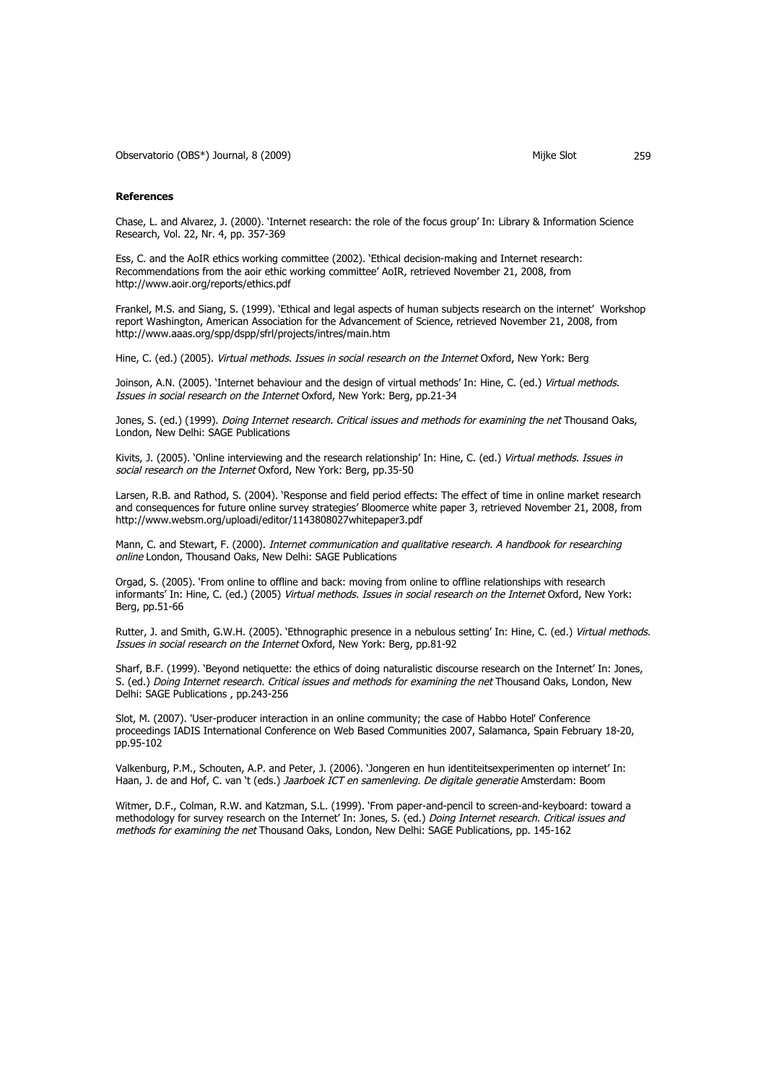Observatorio (OBS\*) Journal, 8 (2009) (Observatorio (OBS\*) Journal, 8 (2009)

#### **References**

Chase, L. and Alvarez, J. (2000). 'Internet research: the role of the focus group' In: Library & Information Science Research, Vol. 22, Nr. 4, pp. 357-369

Ess, C. and the AoIR ethics working committee (2002). 'Ethical decision-making and Internet research: Recommendations from the aoir ethic working committee' AoIR, retrieved November 21, 2008, from http://www.aoir.org/reports/ethics.pdf

Frankel, M.S. and Siang, S. (1999). 'Ethical and legal aspects of human subjects research on the internet' Workshop report Washington, American Association for the Advancement of Science, retrieved November 21, 2008, from http://www.aaas.org/spp/dspp/sfrl/projects/intres/main.htm

Hine, C. (ed.) (2005). Virtual methods. Issues in social research on the Internet Oxford, New York: Berg

Joinson, A.N. (2005). 'Internet behaviour and the design of virtual methods' In: Hine, C. (ed.) Virtual methods. Issues in social research on the Internet Oxford, New York: Berg, pp.21-34

Jones, S. (ed.) (1999). *Doing Internet research. Critical issues and methods for examining the net* Thousand Oaks, London, New Delhi: SAGE Publications

Kivits, J. (2005). 'Online interviewing and the research relationship' In: Hine, C. (ed.) Virtual methods. Issues in social research on the Internet Oxford, New York: Berg, pp.35-50

Larsen, R.B. and Rathod, S. (2004). 'Response and field period effects: The effect of time in online market research and consequences for future online survey strategies' Bloomerce white paper 3, retrieved November 21, 2008, from http://www.websm.org/uploadi/editor/1143808027whitepaper3.pdf

Mann, C. and Stewart, F. (2000). Internet communication and qualitative research. A handbook for researching online London, Thousand Oaks, New Delhi: SAGE Publications

Orgad, S. (2005). 'From online to offline and back: moving from online to offline relationships with research informants' In: Hine, C. (ed.) (2005) Virtual methods. Issues in social research on the Internet Oxford, New York: Berg, pp.51-66

Rutter, J. and Smith, G.W.H. (2005). 'Ethnographic presence in a nebulous setting' In: Hine, C. (ed.) Virtual methods. Issues in social research on the Internet Oxford, New York: Berg, pp.81-92

Sharf, B.F. (1999). 'Beyond netiquette: the ethics of doing naturalistic discourse research on the Internet' In: Jones, S. (ed.) Doing Internet research. Critical issues and methods for examining the net Thousand Oaks, London, New Delhi: SAGE Publications , pp.243-256

Slot, M. (2007). 'User-producer interaction in an online community; the case of Habbo Hotel' Conference proceedings IADIS International Conference on Web Based Communities 2007, Salamanca, Spain February 18-20, pp.95-102

Valkenburg, P.M., Schouten, A.P. and Peter, J. (2006). 'Jongeren en hun identiteitsexperimenten op internet' In: Haan, J. de and Hof, C. van 't (eds.) Jaarboek ICT en samenleving. De digitale generatie Amsterdam: Boom

Witmer, D.F., Colman, R.W. and Katzman, S.L. (1999). 'From paper-and-pencil to screen-and-keyboard: toward a methodology for survey research on the Internet' In: Jones, S. (ed.) Doing Internet research. Critical issues and methods for examining the net Thousand Oaks, London, New Delhi: SAGE Publications, pp. 145-162